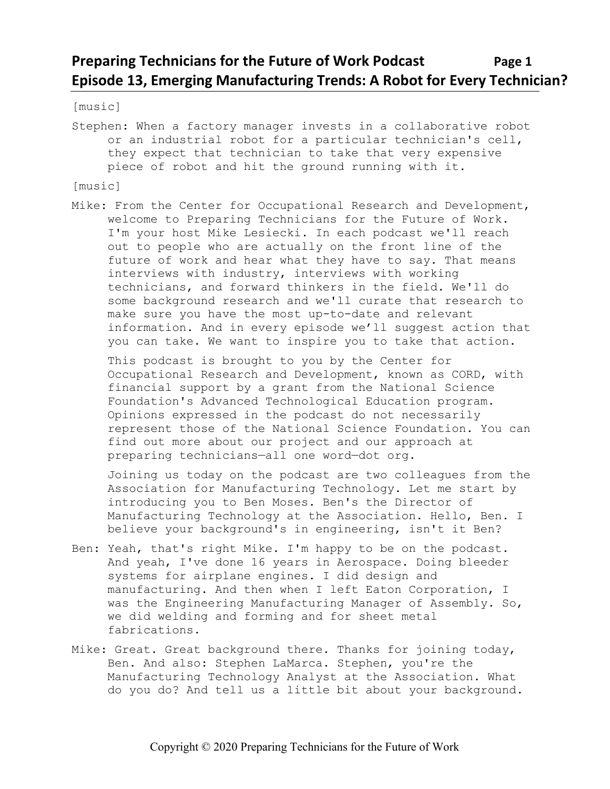# **Preparing Technicians for the Future of Work Podcast Page 1 Episode 13, Emerging Manufacturing Trends: A Robot for Every Technician?**

[music]

Stephen: When a factory manager invests in a collaborative robot or an industrial robot for a particular technician's cell, they expect that technician to take that very expensive piece of robot and hit the ground running with it.

[music]

Mike: From the Center for Occupational Research and Development, welcome to Preparing Technicians for the Future of Work. I'm your host Mike Lesiecki. In each podcast we'll reach out to people who are actually on the front line of the future of work and hear what they have to say. That means interviews with industry, interviews with working technicians, and forward thinkers in the field. We'll do some background research and we'll curate that research to make sure you have the most up-to-date and relevant information. And in every episode we'll suggest action that you can take. We want to inspire you to take that action.

This podcast is brought to you by the Center for Occupational Research and Development, known as CORD, with financial support by a grant from the National Science Foundation's Advanced Technological Education program. Opinions expressed in the podcast do not necessarily represent those of the National Science Foundation. You can find out more about our project and our approach at preparing technicians—all one word—dot org.

Joining us today on the podcast are two colleagues from the Association for Manufacturing Technology. Let me start by introducing you to Ben Moses. Ben's the Director of Manufacturing Technology at the Association. Hello, Ben. I believe your background's in engineering, isn't it Ben?

- Ben: Yeah, that's right Mike. I'm happy to be on the podcast. And yeah, I've done 16 years in Aerospace. Doing bleeder systems for airplane engines. I did design and manufacturing. And then when I left Eaton Corporation, I was the Engineering Manufacturing Manager of Assembly. So, we did welding and forming and for sheet metal fabrications.
- Mike: Great. Great background there. Thanks for joining today, Ben. And also: Stephen LaMarca. Stephen, you're the Manufacturing Technology Analyst at the Association. What do you do? And tell us a little bit about your background.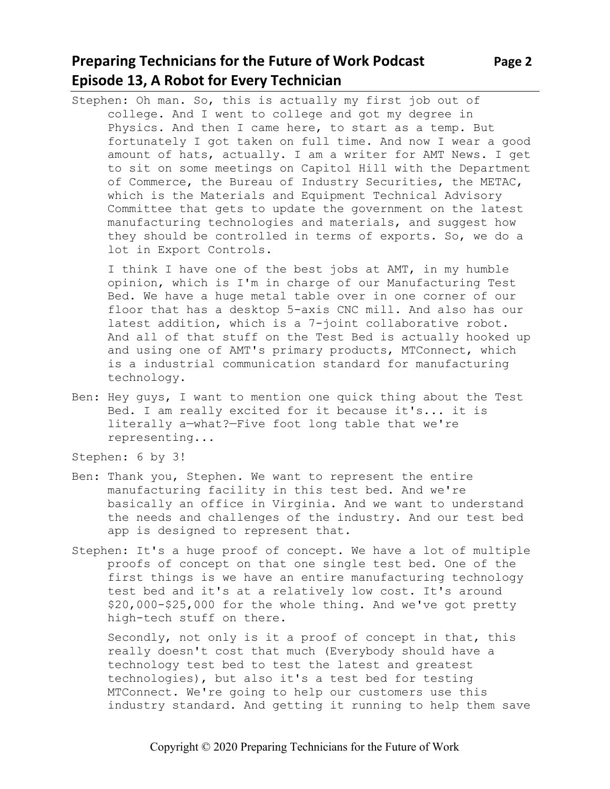## **Preparing Technicians for the Future of Work Podcast Page 2 Episode 13, A Robot for Every Technician**

Stephen: Oh man. So, this is actually my first job out of college. And I went to college and got my degree in Physics. And then I came here, to start as a temp. But fortunately I got taken on full time. And now I wear a good amount of hats, actually. I am a writer for AMT News. I get to sit on some meetings on Capitol Hill with the Department of Commerce, the Bureau of Industry Securities, the METAC, which is the Materials and Equipment Technical Advisory Committee that gets to update the government on the latest manufacturing technologies and materials, and suggest how they should be controlled in terms of exports. So, we do a lot in Export Controls.

I think I have one of the best jobs at AMT, in my humble opinion, which is I'm in charge of our Manufacturing Test Bed. We have a huge metal table over in one corner of our floor that has a desktop 5-axis CNC mill. And also has our latest addition, which is a 7-joint collaborative robot. And all of that stuff on the Test Bed is actually hooked up and using one of AMT's primary products, MTConnect, which is a industrial communication standard for manufacturing technology.

Ben: Hey guys, I want to mention one quick thing about the Test Bed. I am really excited for it because it's... it is literally a—what?—Five foot long table that we're representing...

Stephen: 6 by 3!

- Ben: Thank you, Stephen. We want to represent the entire manufacturing facility in this test bed. And we're basically an office in Virginia. And we want to understand the needs and challenges of the industry. And our test bed app is designed to represent that.
- Stephen: It's a huge proof of concept. We have a lot of multiple proofs of concept on that one single test bed. One of the first things is we have an entire manufacturing technology test bed and it's at a relatively low cost. It's around \$20,000-\$25,000 for the whole thing. And we've got pretty high-tech stuff on there.

Secondly, not only is it a proof of concept in that, this really doesn't cost that much (Everybody should have a technology test bed to test the latest and greatest technologies), but also it's a test bed for testing MTConnect. We're going to help our customers use this industry standard. And getting it running to help them save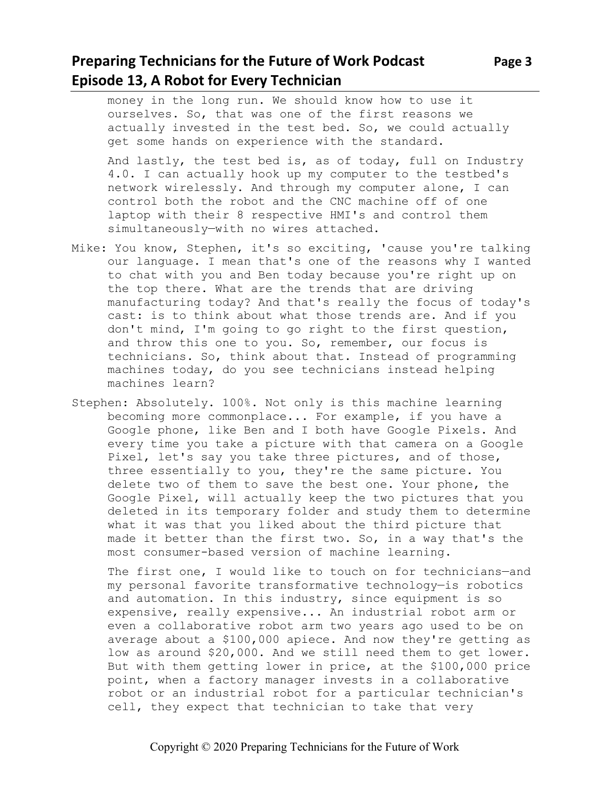## **Preparing Technicians for the Future of Work Podcast** Page 3 **Episode 13, A Robot for Every Technician**

money in the long run. We should know how to use it ourselves. So, that was one of the first reasons we actually invested in the test bed. So, we could actually get some hands on experience with the standard.

And lastly, the test bed is, as of today, full on Industry 4.0. I can actually hook up my computer to the testbed's network wirelessly. And through my computer alone, I can control both the robot and the CNC machine off of one laptop with their 8 respective HMI's and control them simultaneously—with no wires attached.

- Mike: You know, Stephen, it's so exciting, 'cause you're talking our language. I mean that's one of the reasons why I wanted to chat with you and Ben today because you're right up on the top there. What are the trends that are driving manufacturing today? And that's really the focus of today's cast: is to think about what those trends are. And if you don't mind, I'm going to go right to the first question, and throw this one to you. So, remember, our focus is technicians. So, think about that. Instead of programming machines today, do you see technicians instead helping machines learn?
- Stephen: Absolutely. 100%. Not only is this machine learning becoming more commonplace... For example, if you have a Google phone, like Ben and I both have Google Pixels. And every time you take a picture with that camera on a Google Pixel, let's say you take three pictures, and of those, three essentially to you, they're the same picture. You delete two of them to save the best one. Your phone, the Google Pixel, will actually keep the two pictures that you deleted in its temporary folder and study them to determine what it was that you liked about the third picture that made it better than the first two. So, in a way that's the most consumer-based version of machine learning.

The first one, I would like to touch on for technicians—and my personal favorite transformative technology—is robotics and automation. In this industry, since equipment is so expensive, really expensive... An industrial robot arm or even a collaborative robot arm two years ago used to be on average about a \$100,000 apiece. And now they're getting as low as around \$20,000. And we still need them to get lower. But with them getting lower in price, at the \$100,000 price point, when a factory manager invests in a collaborative robot or an industrial robot for a particular technician's cell, they expect that technician to take that very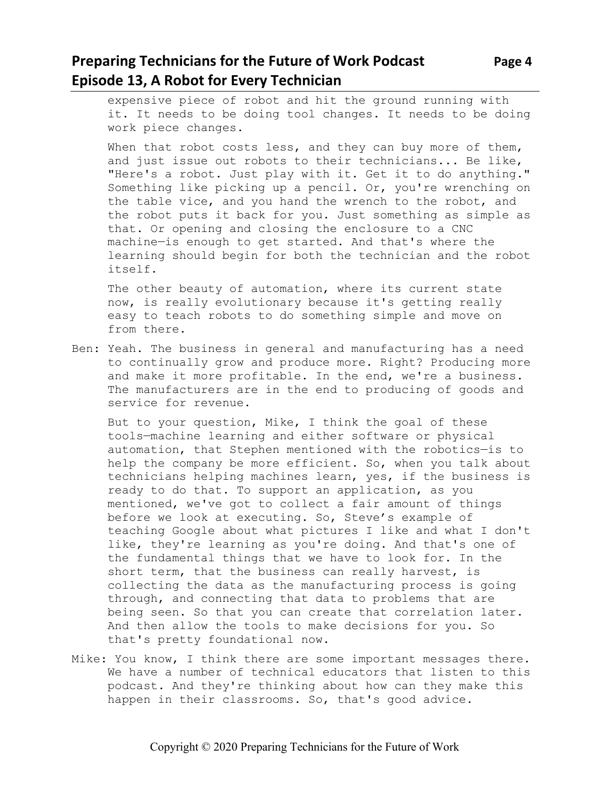## **Preparing Technicians for the Future of Work Podcast Page 4 Episode 13, A Robot for Every Technician**

expensive piece of robot and hit the ground running with it. It needs to be doing tool changes. It needs to be doing work piece changes.

When that robot costs less, and they can buy more of them, and just issue out robots to their technicians... Be like, "Here's a robot. Just play with it. Get it to do anything." Something like picking up a pencil. Or, you're wrenching on the table vice, and you hand the wrench to the robot, and the robot puts it back for you. Just something as simple as that. Or opening and closing the enclosure to a CNC machine—is enough to get started. And that's where the learning should begin for both the technician and the robot itself.

The other beauty of automation, where its current state now, is really evolutionary because it's getting really easy to teach robots to do something simple and move on from there.

Ben: Yeah. The business in general and manufacturing has a need to continually grow and produce more. Right? Producing more and make it more profitable. In the end, we're a business. The manufacturers are in the end to producing of goods and service for revenue.

But to your question, Mike, I think the goal of these tools—machine learning and either software or physical automation, that Stephen mentioned with the robotics—is to help the company be more efficient. So, when you talk about technicians helping machines learn, yes, if the business is ready to do that. To support an application, as you mentioned, we've got to collect a fair amount of things before we look at executing. So, Steve's example of teaching Google about what pictures I like and what I don't like, they're learning as you're doing. And that's one of the fundamental things that we have to look for. In the short term, that the business can really harvest, is collecting the data as the manufacturing process is going through, and connecting that data to problems that are being seen. So that you can create that correlation later. And then allow the tools to make decisions for you. So that's pretty foundational now.

Mike: You know, I think there are some important messages there. We have a number of technical educators that listen to this podcast. And they're thinking about how can they make this happen in their classrooms. So, that's good advice.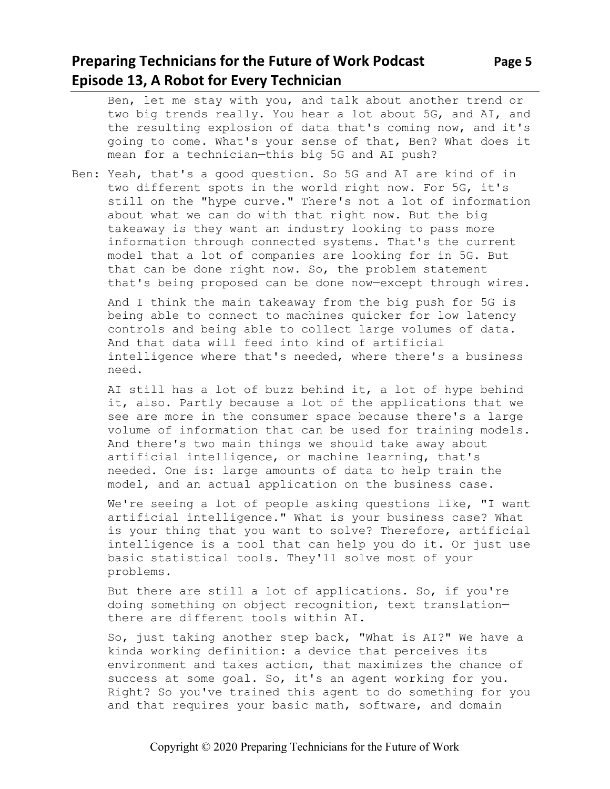## **Preparing Technicians for the Future of Work Podcast** Page 5 **Episode 13, A Robot for Every Technician**

the resulting explosion of data that's coming now, and it's going to come. What's your sense of that, Ben? What does it mean for a technician—this big 5G and AI push?

Ben: Yeah, that's a good question. So 5G and AI are kind of in two different spots in the world right now. For 5G, it's still on the "hype curve." There's not a lot of information about what we can do with that right now. But the big takeaway is they want an industry looking to pass more information through connected systems. That's the current model that a lot of companies are looking for in 5G. But that can be done right now. So, the problem statement that's being proposed can be done now—except through wires.

And I think the main takeaway from the big push for 5G is being able to connect to machines quicker for low latency controls and being able to collect large volumes of data. And that data will feed into kind of artificial intelligence where that's needed, where there's a business need.

AI still has a lot of buzz behind it, a lot of hype behind it, also. Partly because a lot of the applications that we see are more in the consumer space because there's a large volume of information that can be used for training models. And there's two main things we should take away about artificial intelligence, or machine learning, that's needed. One is: large amounts of data to help train the model, and an actual application on the business case.

We're seeing a lot of people asking questions like, "I want artificial intelligence." What is your business case? What is your thing that you want to solve? Therefore, artificial intelligence is a tool that can help you do it. Or just use basic statistical tools. They'll solve most of your problems.

But there are still a lot of applications. So, if you're doing something on object recognition, text translation there are different tools within AI.

So, just taking another step back, "What is AI?" We have a kinda working definition: a device that perceives its environment and takes action, that maximizes the chance of success at some goal. So, it's an agent working for you. Right? So you've trained this agent to do something for you and that requires your basic math, software, and domain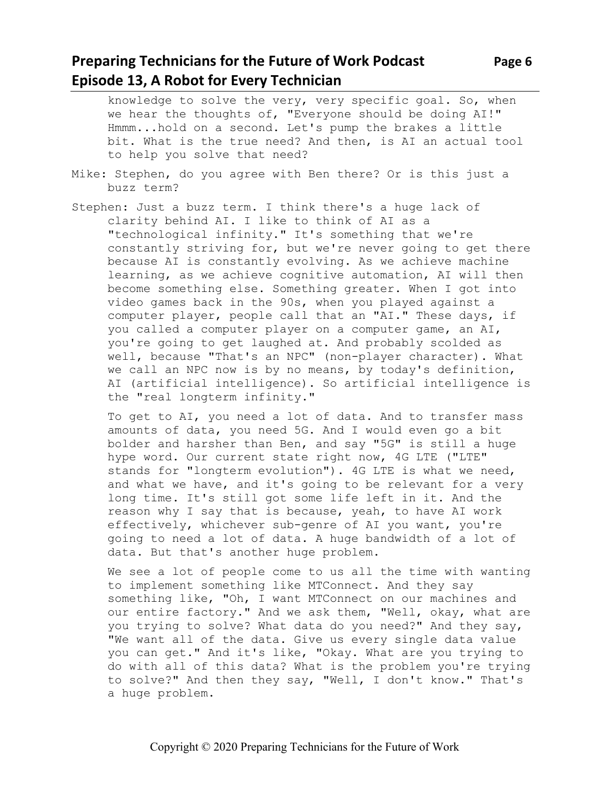## **Preparing Technicians for the Future of Work Podcast** Page 6 **Episode 13, A Robot for Every Technician**

knowledge to solve the very, very specific goal. So, when we hear the thoughts of, "Everyone should be doing AI!" Hmmm...hold on a second. Let's pump the brakes a little bit. What is the true need? And then, is AI an actual tool to help you solve that need?

- Mike: Stephen, do you agree with Ben there? Or is this just a buzz term?
- Stephen: Just a buzz term. I think there's a huge lack of clarity behind AI. I like to think of AI as a "technological infinity." It's something that we're constantly striving for, but we're never going to get there because AI is constantly evolving. As we achieve machine learning, as we achieve cognitive automation, AI will then become something else. Something greater. When I got into video games back in the 90s, when you played against a computer player, people call that an "AI." These days, if you called a computer player on a computer game, an AI, you're going to get laughed at. And probably scolded as well, because "That's an NPC" (non-player character). What we call an NPC now is by no means, by today's definition, AI (artificial intelligence). So artificial intelligence is the "real longterm infinity."

To get to AI, you need a lot of data. And to transfer mass amounts of data, you need 5G. And I would even go a bit bolder and harsher than Ben, and say "5G" is still a huge hype word. Our current state right now, 4G LTE ("LTE" stands for "longterm evolution"). 4G LTE is what we need, and what we have, and it's going to be relevant for a very long time. It's still got some life left in it. And the reason why I say that is because, yeah, to have AI work effectively, whichever sub-genre of AI you want, you're going to need a lot of data. A huge bandwidth of a lot of data. But that's another huge problem.

We see a lot of people come to us all the time with wanting to implement something like MTConnect. And they say something like, "Oh, I want MTConnect on our machines and our entire factory." And we ask them, "Well, okay, what are you trying to solve? What data do you need?" And they say, "We want all of the data. Give us every single data value you can get." And it's like, "Okay. What are you trying to do with all of this data? What is the problem you're trying to solve?" And then they say, "Well, I don't know." That's a huge problem.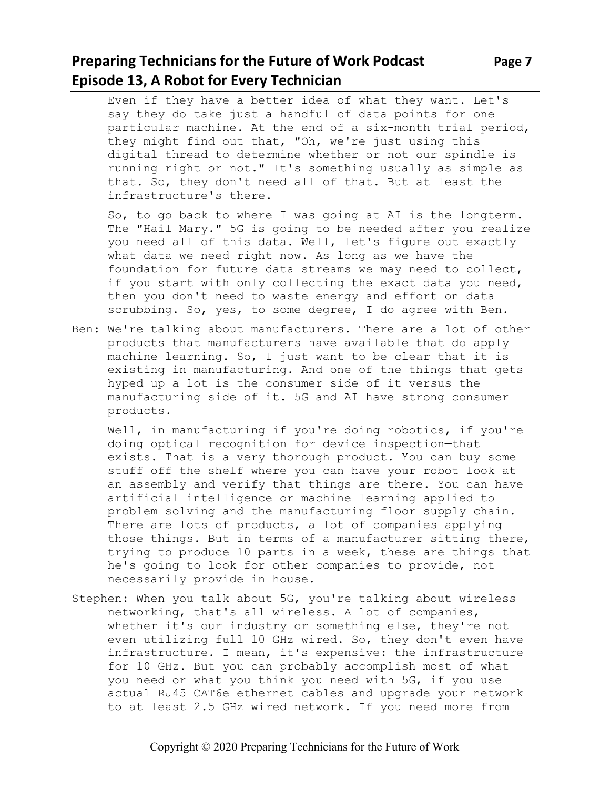## **Preparing Technicians for the Future of Work Podcast Page 7 Episode 13, A Robot for Every Technician**

Even if they have a better idea of what they want. Let's say they do take just a handful of data points for one particular machine. At the end of a six-month trial period, they might find out that, "Oh, we're just using this digital thread to determine whether or not our spindle is running right or not." It's something usually as simple as that. So, they don't need all of that. But at least the infrastructure's there.

So, to go back to where I was going at AI is the longterm. The "Hail Mary." 5G is going to be needed after you realize you need all of this data. Well, let's figure out exactly what data we need right now. As long as we have the foundation for future data streams we may need to collect, if you start with only collecting the exact data you need, then you don't need to waste energy and effort on data scrubbing. So, yes, to some degree, I do agree with Ben.

Ben: We're talking about manufacturers. There are a lot of other products that manufacturers have available that do apply machine learning. So, I just want to be clear that it is existing in manufacturing. And one of the things that gets hyped up a lot is the consumer side of it versus the manufacturing side of it. 5G and AI have strong consumer products.

Well, in manufacturing—if you're doing robotics, if you're doing optical recognition for device inspection—that exists. That is a very thorough product. You can buy some stuff off the shelf where you can have your robot look at an assembly and verify that things are there. You can have artificial intelligence or machine learning applied to problem solving and the manufacturing floor supply chain. There are lots of products, a lot of companies applying those things. But in terms of a manufacturer sitting there, trying to produce 10 parts in a week, these are things that he's going to look for other companies to provide, not necessarily provide in house.

Stephen: When you talk about 5G, you're talking about wireless networking, that's all wireless. A lot of companies, whether it's our industry or something else, they're not even utilizing full 10 GHz wired. So, they don't even have infrastructure. I mean, it's expensive: the infrastructure for 10 GHz. But you can probably accomplish most of what you need or what you think you need with 5G, if you use actual RJ45 CAT6e ethernet cables and upgrade your network to at least 2.5 GHz wired network. If you need more from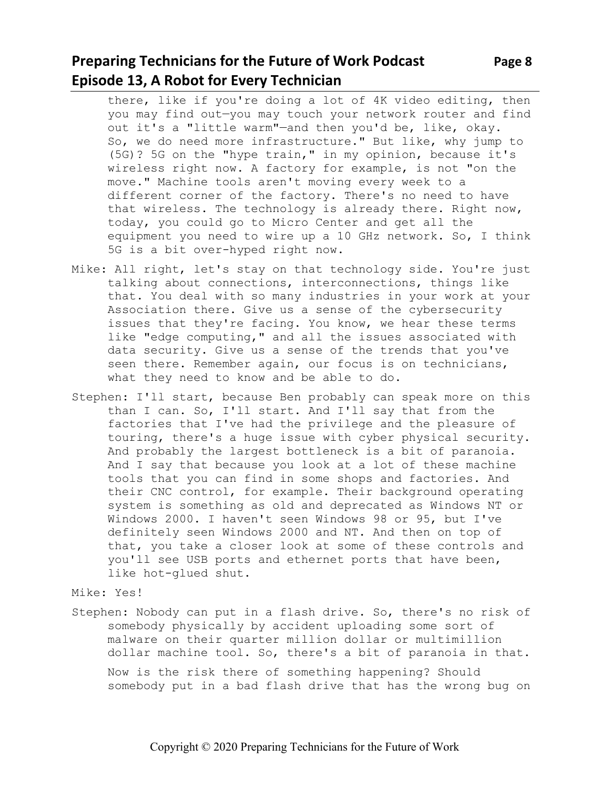## **Preparing Technicians for the Future of Work Podcast** Page 8 **Episode 13, A Robot for Every Technician**

there, like if you're doing a lot of 4K video editing, then you may find out—you may touch your network router and find out it's a "little warm"—and then you'd be, like, okay. So, we do need more infrastructure." But like, why jump to (5G)? 5G on the "hype train," in my opinion, because it's wireless right now. A factory for example, is not "on the move." Machine tools aren't moving every week to a different corner of the factory. There's no need to have that wireless. The technology is already there. Right now, today, you could go to Micro Center and get all the equipment you need to wire up a 10 GHz network. So, I think 5G is a bit over-hyped right now.

- Mike: All right, let's stay on that technology side. You're just talking about connections, interconnections, things like that. You deal with so many industries in your work at your Association there. Give us a sense of the cybersecurity issues that they're facing. You know, we hear these terms like "edge computing," and all the issues associated with data security. Give us a sense of the trends that you've seen there. Remember again, our focus is on technicians, what they need to know and be able to do.
- Stephen: I'll start, because Ben probably can speak more on this than I can. So, I'll start. And I'll say that from the factories that I've had the privilege and the pleasure of touring, there's a huge issue with cyber physical security. And probably the largest bottleneck is a bit of paranoia. And I say that because you look at a lot of these machine tools that you can find in some shops and factories. And their CNC control, for example. Their background operating system is something as old and deprecated as Windows NT or Windows 2000. I haven't seen Windows 98 or 95, but I've definitely seen Windows 2000 and NT. And then on top of that, you take a closer look at some of these controls and you'll see USB ports and ethernet ports that have been, like hot-glued shut.

Mike: Yes!

Stephen: Nobody can put in a flash drive. So, there's no risk of somebody physically by accident uploading some sort of malware on their quarter million dollar or multimillion dollar machine tool. So, there's a bit of paranoia in that. Now is the risk there of something happening? Should somebody put in a bad flash drive that has the wrong bug on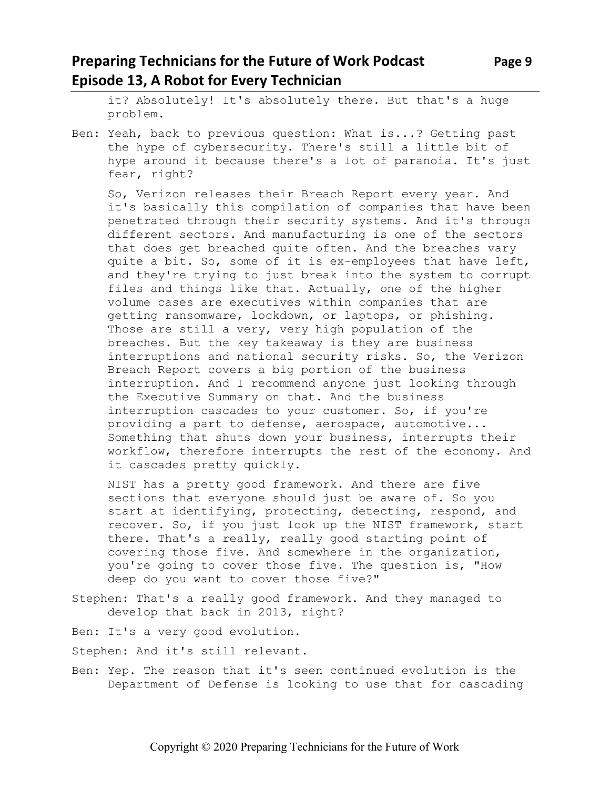## **Preparing Technicians for the Future of Work Podcast** Page 9 **Episode 13, A Robot for Every Technician**

it? Absolutely! It's absolutely there. But that's a huge problem.

Ben: Yeah, back to previous question: What is...? Getting past the hype of cybersecurity. There's still a little bit of hype around it because there's a lot of paranoia. It's just fear, right?

So, Verizon releases their Breach Report every year. And it's basically this compilation of companies that have been penetrated through their security systems. And it's through different sectors. And manufacturing is one of the sectors that does get breached quite often. And the breaches vary quite a bit. So, some of it is ex-employees that have left, and they're trying to just break into the system to corrupt files and things like that. Actually, one of the higher volume cases are executives within companies that are getting ransomware, lockdown, or laptops, or phishing. Those are still a very, very high population of the breaches. But the key takeaway is they are business interruptions and national security risks. So, the Verizon Breach Report covers a big portion of the business interruption. And I recommend anyone just looking through the Executive Summary on that. And the business interruption cascades to your customer. So, if you're providing a part to defense, aerospace, automotive... Something that shuts down your business, interrupts their workflow, therefore interrupts the rest of the economy. And it cascades pretty quickly.

NIST has a pretty good framework. And there are five sections that everyone should just be aware of. So you start at identifying, protecting, detecting, respond, and recover. So, if you just look up the NIST framework, start there. That's a really, really good starting point of covering those five. And somewhere in the organization, you're going to cover those five. The question is, "How deep do you want to cover those five?"

Stephen: That's a really good framework. And they managed to develop that back in 2013, right?

Ben: It's a very good evolution.

Stephen: And it's still relevant.

Ben: Yep. The reason that it's seen continued evolution is the Department of Defense is looking to use that for cascading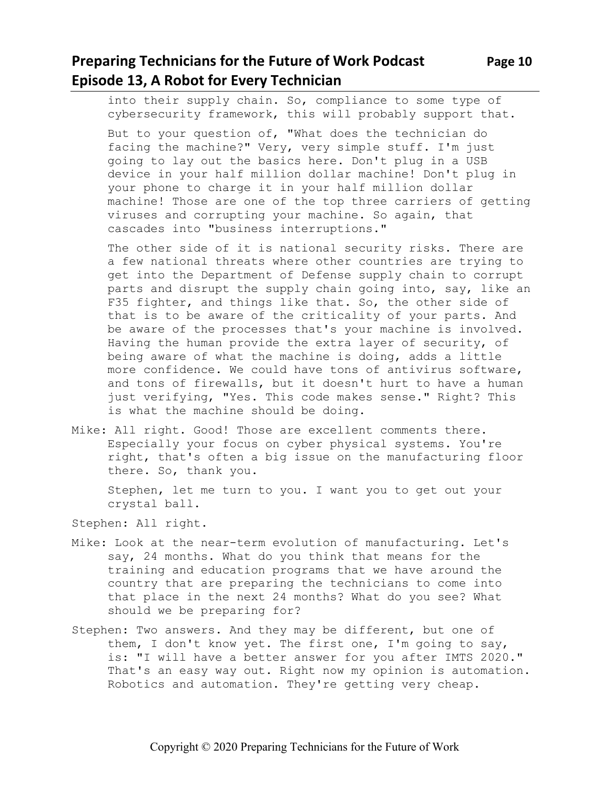into their supply chain. So, compliance to some type of cybersecurity framework, this will probably support that.

But to your question of, "What does the technician do facing the machine?" Very, very simple stuff. I'm just going to lay out the basics here. Don't plug in a USB device in your half million dollar machine! Don't plug in your phone to charge it in your half million dollar machine! Those are one of the top three carriers of getting viruses and corrupting your machine. So again, that cascades into "business interruptions."

The other side of it is national security risks. There are a few national threats where other countries are trying to get into the Department of Defense supply chain to corrupt parts and disrupt the supply chain going into, say, like an F35 fighter, and things like that. So, the other side of that is to be aware of the criticality of your parts. And be aware of the processes that's your machine is involved. Having the human provide the extra layer of security, of being aware of what the machine is doing, adds a little more confidence. We could have tons of antivirus software, and tons of firewalls, but it doesn't hurt to have a human just verifying, "Yes. This code makes sense." Right? This is what the machine should be doing.

Mike: All right. Good! Those are excellent comments there. Especially your focus on cyber physical systems. You're right, that's often a big issue on the manufacturing floor there. So, thank you.

Stephen, let me turn to you. I want you to get out your crystal ball.

Stephen: All right.

- Mike: Look at the near-term evolution of manufacturing. Let's say, 24 months. What do you think that means for the training and education programs that we have around the country that are preparing the technicians to come into that place in the next 24 months? What do you see? What should we be preparing for?
- Stephen: Two answers. And they may be different, but one of them, I don't know yet. The first one, I'm going to say, is: "I will have a better answer for you after IMTS 2020." That's an easy way out. Right now my opinion is automation. Robotics and automation. They're getting very cheap.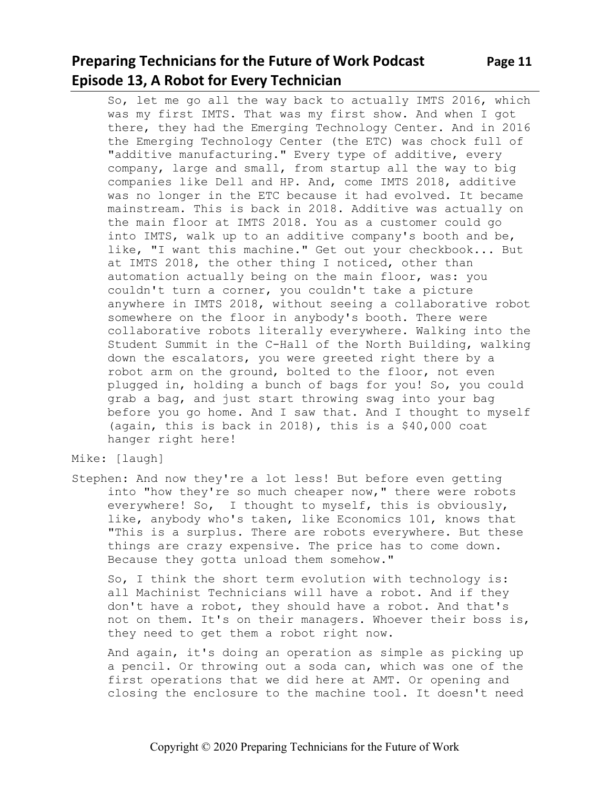## **Preparing Technicians for the Future of Work Podcast Page 11 Episode 13, A Robot for Every Technician**

So, let me go all the way back to actually IMTS 2016, which was my first IMTS. That was my first show. And when I got there, they had the Emerging Technology Center. And in 2016 the Emerging Technology Center (the ETC) was chock full of "additive manufacturing." Every type of additive, every company, large and small, from startup all the way to big companies like Dell and HP. And, come IMTS 2018, additive was no longer in the ETC because it had evolved. It became mainstream. This is back in 2018. Additive was actually on the main floor at IMTS 2018. You as a customer could go into IMTS, walk up to an additive company's booth and be, like, "I want this machine." Get out your checkbook... But at IMTS 2018, the other thing I noticed, other than automation actually being on the main floor, was: you couldn't turn a corner, you couldn't take a picture anywhere in IMTS 2018, without seeing a collaborative robot somewhere on the floor in anybody's booth. There were collaborative robots literally everywhere. Walking into the Student Summit in the C-Hall of the North Building, walking down the escalators, you were greeted right there by a robot arm on the ground, bolted to the floor, not even plugged in, holding a bunch of bags for you! So, you could grab a bag, and just start throwing swag into your bag before you go home. And I saw that. And I thought to myself (again, this is back in 2018), this is a \$40,000 coat hanger right here!

#### Mike: [laugh]

Stephen: And now they're a lot less! But before even getting into "how they're so much cheaper now," there were robots everywhere! So, I thought to myself, this is obviously, like, anybody who's taken, like Economics 101, knows that "This is a surplus. There are robots everywhere. But these things are crazy expensive. The price has to come down. Because they gotta unload them somehow."

So, I think the short term evolution with technology is: all Machinist Technicians will have a robot. And if they don't have a robot, they should have a robot. And that's not on them. It's on their managers. Whoever their boss is, they need to get them a robot right now.

And again, it's doing an operation as simple as picking up a pencil. Or throwing out a soda can, which was one of the first operations that we did here at AMT. Or opening and closing the enclosure to the machine tool. It doesn't need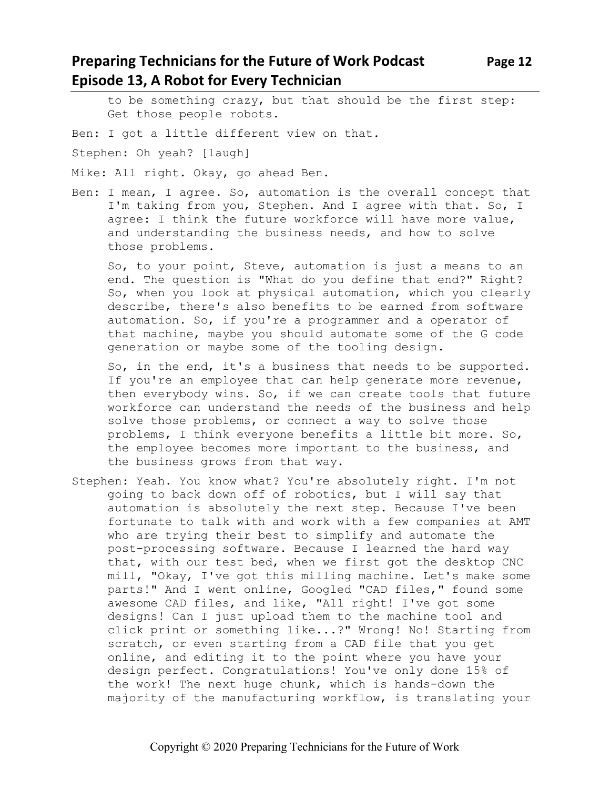## **Preparing Technicians for the Future of Work Podcast Page 12 Episode 13, A Robot for Every Technician**

to be something crazy, but that should be the first step: Get those people robots.

Ben: I got a little different view on that.

Stephen: Oh yeah? [laugh]

Mike: All right. Okay, go ahead Ben.

Ben: I mean, I agree. So, automation is the overall concept that I'm taking from you, Stephen. And I agree with that. So, I agree: I think the future workforce will have more value, and understanding the business needs, and how to solve those problems.

So, to your point, Steve, automation is just a means to an end. The question is "What do you define that end?" Right? So, when you look at physical automation, which you clearly describe, there's also benefits to be earned from software automation. So, if you're a programmer and a operator of that machine, maybe you should automate some of the G code generation or maybe some of the tooling design.

So, in the end, it's a business that needs to be supported. If you're an employee that can help generate more revenue, then everybody wins. So, if we can create tools that future workforce can understand the needs of the business and help solve those problems, or connect a way to solve those problems, I think everyone benefits a little bit more. So, the employee becomes more important to the business, and the business grows from that way.

Stephen: Yeah. You know what? You're absolutely right. I'm not going to back down off of robotics, but I will say that automation is absolutely the next step. Because I've been fortunate to talk with and work with a few companies at AMT who are trying their best to simplify and automate the post-processing software. Because I learned the hard way that, with our test bed, when we first got the desktop CNC mill, "Okay, I've got this milling machine. Let's make some parts!" And I went online, Googled "CAD files," found some awesome CAD files, and like, "All right! I've got some designs! Can I just upload them to the machine tool and click print or something like...?" Wrong! No! Starting from scratch, or even starting from a CAD file that you get online, and editing it to the point where you have your design perfect. Congratulations! You've only done 15% of the work! The next huge chunk, which is hands-down the majority of the manufacturing workflow, is translating your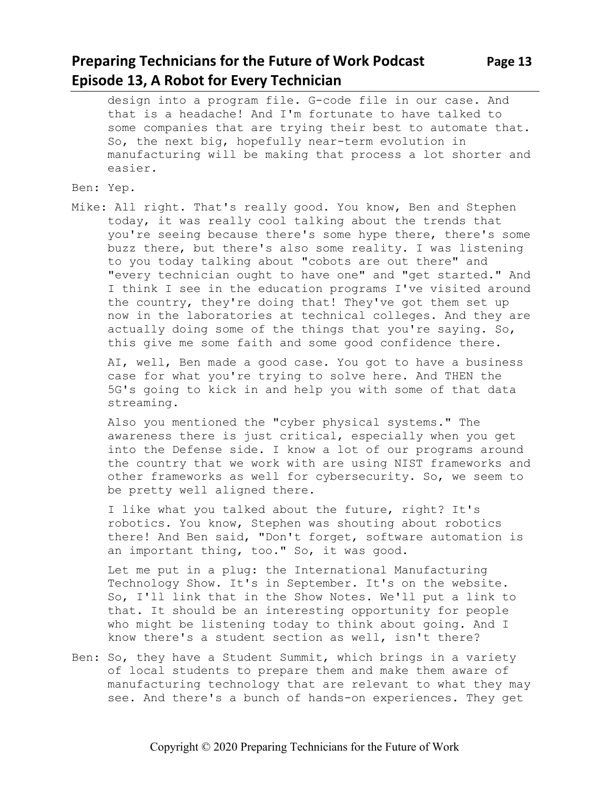## **Preparing Technicians for the Future of Work Podcast Page 13 Episode 13, A Robot for Every Technician**

design into a program file. G-code file in our case. And that is a headache! And I'm fortunate to have talked to some companies that are trying their best to automate that. So, the next big, hopefully near-term evolution in manufacturing will be making that process a lot shorter and easier.

#### Ben: Yep.

Mike: All right. That's really good. You know, Ben and Stephen today, it was really cool talking about the trends that you're seeing because there's some hype there, there's some buzz there, but there's also some reality. I was listening to you today talking about "cobots are out there" and "every technician ought to have one" and "get started." And I think I see in the education programs I've visited around the country, they're doing that! They've got them set up now in the laboratories at technical colleges. And they are actually doing some of the things that you're saying. So, this give me some faith and some good confidence there.

AI, well, Ben made a good case. You got to have a business case for what you're trying to solve here. And THEN the 5G's going to kick in and help you with some of that data streaming.

Also you mentioned the "cyber physical systems." The awareness there is just critical, especially when you get into the Defense side. I know a lot of our programs around the country that we work with are using NIST frameworks and other frameworks as well for cybersecurity. So, we seem to be pretty well aligned there.

I like what you talked about the future, right? It's robotics. You know, Stephen was shouting about robotics there! And Ben said, "Don't forget, software automation is an important thing, too." So, it was good.

Let me put in a plug: the International Manufacturing Technology Show. It's in September. It's on the website. So, I'll link that in the Show Notes. We'll put a link to that. It should be an interesting opportunity for people who might be listening today to think about going. And I know there's a student section as well, isn't there?

Ben: So, they have a Student Summit, which brings in a variety of local students to prepare them and make them aware of manufacturing technology that are relevant to what they may see. And there's a bunch of hands-on experiences. They get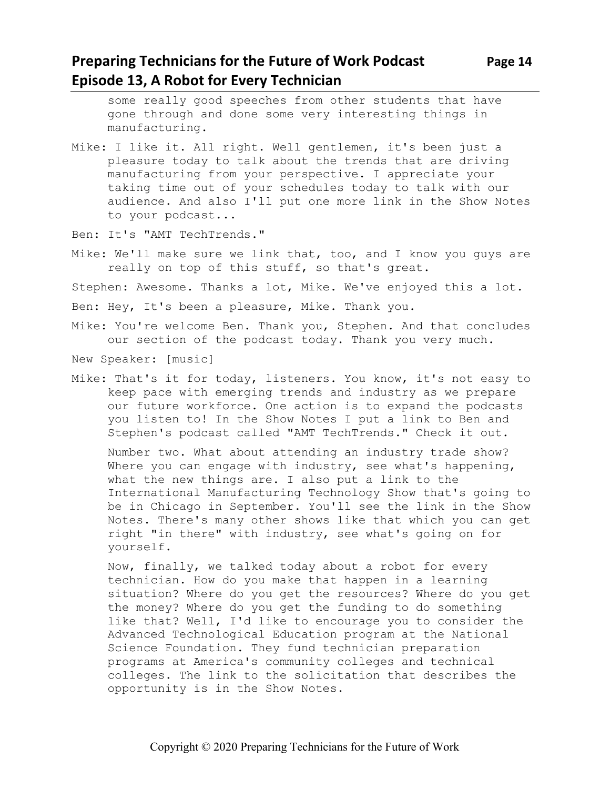## **Preparing Technicians for the Future of Work Podcast Page 14 Episode 13, A Robot for Every Technician**

some really good speeches from other students that have gone through and done some very interesting things in manufacturing.

- Mike: I like it. All right. Well gentlemen, it's been just a pleasure today to talk about the trends that are driving manufacturing from your perspective. I appreciate your taking time out of your schedules today to talk with our audience. And also I'll put one more link in the Show Notes to your podcast...
- Ben: It's "AMT TechTrends."
- Mike: We'll make sure we link that, too, and I know you guys are really on top of this stuff, so that's great.

Stephen: Awesome. Thanks a lot, Mike. We've enjoyed this a lot.

Ben: Hey, It's been a pleasure, Mike. Thank you.

Mike: You're welcome Ben. Thank you, Stephen. And that concludes our section of the podcast today. Thank you very much.

New Speaker: [music]

Mike: That's it for today, listeners. You know, it's not easy to keep pace with emerging trends and industry as we prepare our future workforce. One action is to expand the podcasts you listen to! In the Show Notes I put a link to Ben and Stephen's podcast called "AMT TechTrends." Check it out.

Number two. What about attending an industry trade show? Where you can engage with industry, see what's happening, what the new things are. I also put a link to the International Manufacturing Technology Show that's going to be in Chicago in September. You'll see the link in the Show Notes. There's many other shows like that which you can get right "in there" with industry, see what's going on for yourself.

Now, finally, we talked today about a robot for every technician. How do you make that happen in a learning situation? Where do you get the resources? Where do you get the money? Where do you get the funding to do something like that? Well, I'd like to encourage you to consider the Advanced Technological Education program at the National Science Foundation. They fund technician preparation programs at America's community colleges and technical colleges. The link to the solicitation that describes the opportunity is in the Show Notes.